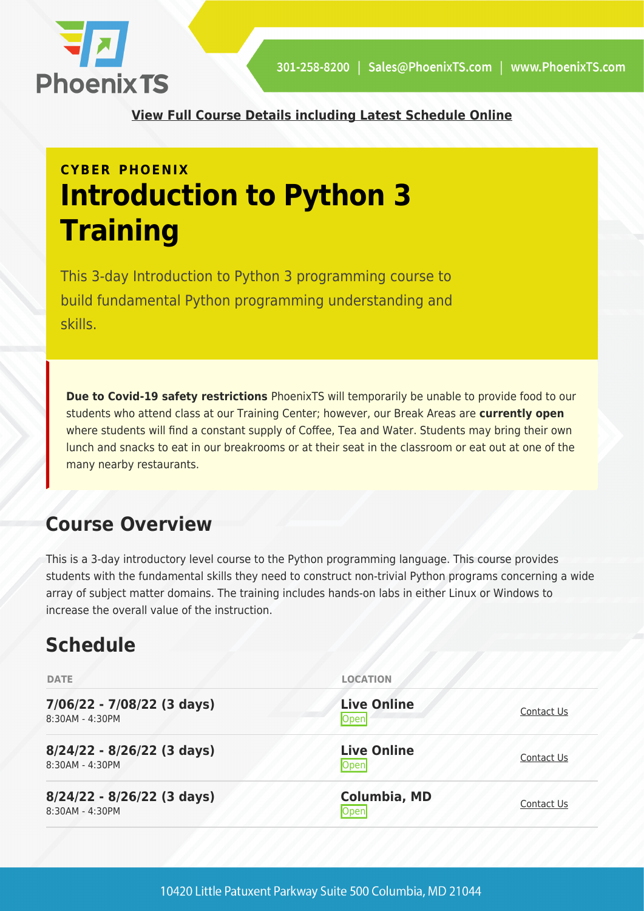

**[View Full Course Details including Latest Schedule Online](https://phoenixts.com/training-courses/introduction-to-python-3/)**

# **CYBER PHOENIX Introduction to Python 3 Training**

This 3-day Introduction to Python 3 programming course to build fundamental Python programming understanding and skills.

**Due to Covid-19 safety restrictions** PhoenixTS will temporarily be unable to provide food to our students who attend class at our Training Center; however, our Break Areas are **currently open** where students will find a constant supply of Coffee, Tea and Water. Students may bring their own lunch and snacks to eat in our breakrooms or at their seat in the classroom or eat out at one of the many nearby restaurants.

# **Course Overview**

This is a 3-day introductory level course to the Python programming language. This course provides students with the fundamental skills they need to construct non-trivial Python programs concerning a wide array of subject matter domains. The training includes hands-on labs in either Linux or Windows to increase the overall value of the instruction.

# **Schedule**

| <b>DATE</b>                                     | <b>LOCATION</b>             |            |
|-------------------------------------------------|-----------------------------|------------|
| 7/06/22 - 7/08/22 (3 days)<br>8:30AM - 4:30PM   | <b>Live Online</b><br>Open  | Contact Us |
| 8/24/22 - 8/26/22 (3 days)<br>8:30AM - 4:30PM   | <b>Live Online</b><br>Open  | Contact Us |
| $8/24/22 - 8/26/22$ (3 days)<br>8:30AM - 4:30PM | <b>Columbia, MD</b><br>Open | Contact Us |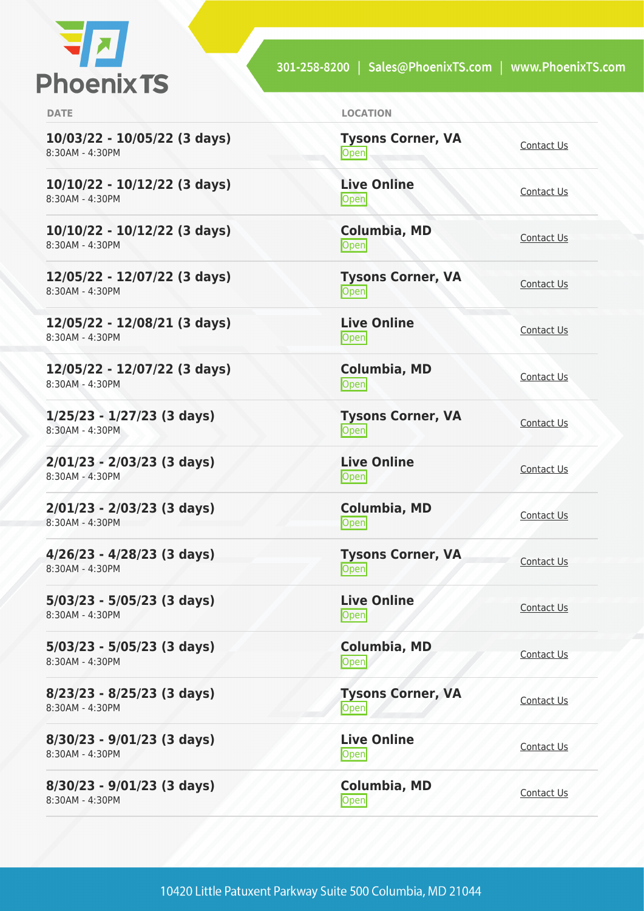

301-258-8200 | Sales@PhoenixTS.com | www.PhoenixTS.com

| <b>DATE</b>                                       | <b>LOCATION</b>                       |            |
|---------------------------------------------------|---------------------------------------|------------|
| 10/03/22 - 10/05/22 (3 days)<br>8:30AM - 4:30PM   | <b>Tysons Corner, VA</b><br>Open      | Contact Us |
| $10/10/22 - 10/12/22$ (3 days)<br>8:30AM - 4:30PM | <b>Live Online</b><br>Open            | Contact Us |
| 10/10/22 - 10/12/22 (3 days)<br>8:30AM - 4:30PM   | <b>Columbia, MD</b><br>Open           | Contact Us |
| 12/05/22 - 12/07/22 (3 days)<br>8:30AM - 4:30PM   | <b>Tysons Corner, VA</b><br>Open      | Contact Us |
| 12/05/22 - 12/08/21 (3 days)<br>8:30AM - 4:30PM   | <b>Live Online</b><br>$\mathsf{Open}$ | Contact Us |
| 12/05/22 - 12/07/22 (3 days)<br>8:30AM - 4:30PM   | <b>Columbia, MD</b><br>Open           | Contact Us |
| $1/25/23 - 1/27/23$ (3 days)<br>8:30AM - 4:30PM   | <b>Tysons Corner, VA</b><br>Open      | Contact Us |
| $2/01/23 - 2/03/23$ (3 days)<br>8:30AM - 4:30PM   | <b>Live Online</b><br><b>Open</b>     | Contact Us |
| $2/01/23 - 2/03/23$ (3 days)<br>8:30AM - 4:30PM   | Columbia, MD<br>Open                  | Contact Us |
| $4/26/23 - 4/28/23$ (3 days)<br>8:30AM - 4:30PM   | <b>Tysons Corner, VA</b><br>Open      | Contact Us |
| $5/03/23 - 5/05/23$ (3 days)<br>8:30AM - 4:30PM   | <b>Live Online</b><br>Open            | Contact Us |
| 5/03/23 - 5/05/23 (3 days)<br>8:30AM - 4:30PM     | Columbia, MD<br>Open                  | Contact Us |
| $8/23/23 - 8/25/23$ (3 days)<br>8:30AM - 4:30PM   | <b>Tysons Corner, VA</b><br>Open      | Contact Us |
| $8/30/23 - 9/01/23$ (3 days)<br>8:30AM - 4:30PM   | <b>Live Online</b><br>Open            | Contact Us |
| $8/30/23 - 9/01/23$ (3 days)<br>8:30AM - 4:30PM   | <b>Columbia, MD</b><br>Open           | Contact Us |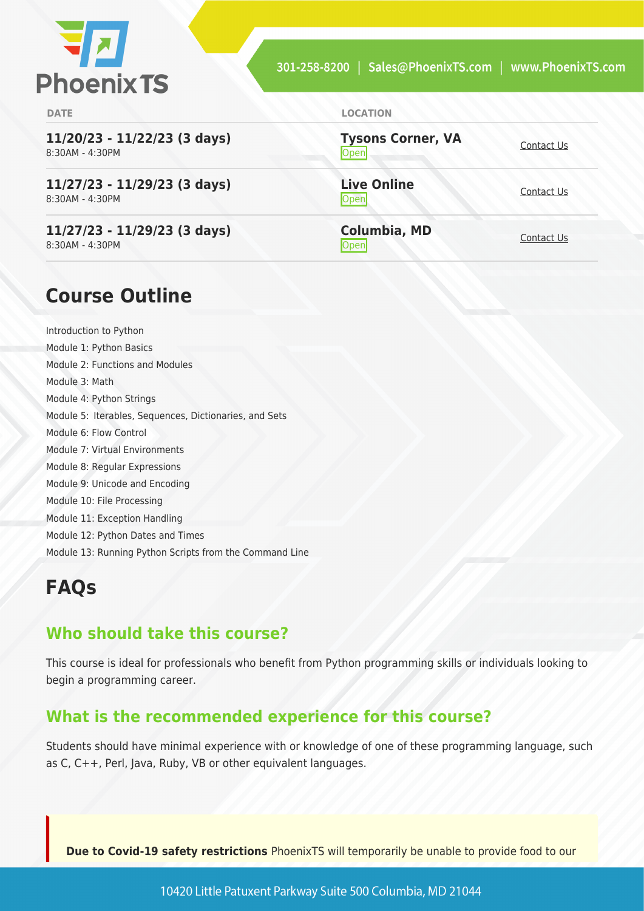

**DATE LOCATION**

**11/20/23 - 11/22/23 (3 days)** 8:30AM - 4:30PM

**11/27/23 - 11/29/23 (3 days)** 8:30AM - 4:30PM

**11/27/23 - 11/29/23 (3 days)** 8:30AM - 4:30PM

**Tysons Corner, VA Open** [Contact Us](https://phoenixts.com/schedule/more-info/?class=31095)

**Live Online** <u>[Contact Us](https://phoenixts.com/schedule/more-info/?class=31096)</u>

**Columbia, MD** [Contact Us](https://phoenixts.com/schedule/more-info/?class=31103)<br>Open

## **Course Outline**

Introduction to Python Module 1: Python Basics Module 2: Functions and Modules Module 3: Math Module 4: Python Strings Module 5: Iterables, Sequences, Dictionaries, and Sets Module 6: Flow Control Module 7: Virtual Environments Module 8: Regular Expressions Module 9: Unicode and Encoding Module 10: File Processing Module 11: Exception Handling Module 12: Python Dates and Times Module 13: Running Python Scripts from the Command Line

## **FAQs**

#### **Who should take this course?**

This course is ideal for professionals who benefit from Python programming skills or individuals looking to begin a programming career.

#### **What is the recommended experience for this course?**

Students should have minimal experience with or knowledge of one of these programming language, such as C, C++, Perl, Java, Ruby, VB or other equivalent languages.

**Due to Covid-19 safety restrictions** PhoenixTS will temporarily be unable to provide food to our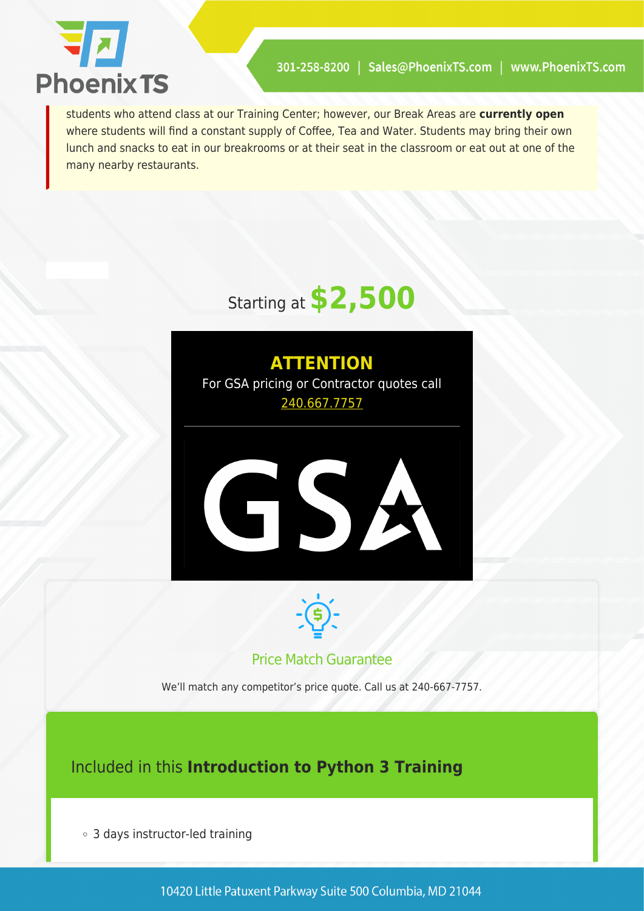

students who attend class at our Training Center; however, our Break Areas are **currently open** where students will find a constant supply of Coffee, Tea and Water. Students may bring their own lunch and snacks to eat in our breakrooms or at their seat in the classroom or eat out at one of the many nearby restaurants.

# Starting at **\$2,500**





#### Price Match Guarantee

We'll match any competitor's price quote. Call us at 240-667-7757.

### Included in this **Introduction to Python 3 Training**

3 days instructor-led training

10420 Little Patuxent Parkway Suite 500 Columbia, MD 21044